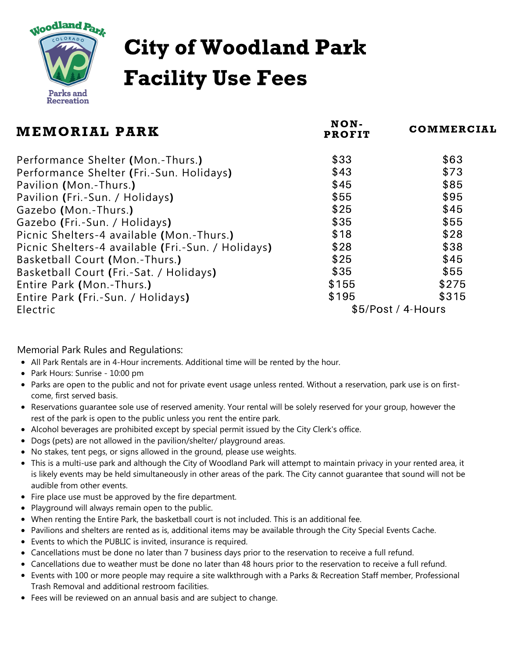

## City of Woodland Park Facility Use Fees

| MEMORIAL PARK                                      | NON-<br><b>PROFIT</b> | COMMERCIAL |
|----------------------------------------------------|-----------------------|------------|
| Performance Shelter (Mon.-Thurs.)                  | \$33                  | \$63       |
| Performance Shelter (Fri.-Sun. Holidays)           | \$43                  | \$73       |
| Pavilion (Mon.-Thurs.)                             | \$45                  | \$85       |
| Pavilion (Fri.-Sun. / Holidays)                    | \$55                  | \$95       |
| Gazebo (Mon.-Thurs.)                               | \$25                  | \$45       |
| Gazebo (Fri.-Sun. / Holidays)                      | \$35                  | \$55       |
| Picnic Shelters-4 available (Mon.-Thurs.)          | \$18                  | \$28       |
| Picnic Shelters-4 available (Fri.-Sun. / Holidays) | \$28                  | \$38       |
| Basketball Court (Mon.-Thurs.)                     | \$25                  | \$45       |
| Basketball Court (Fri.-Sat. / Holidays)            | \$35                  | \$55       |
| Entire Park (Mon.-Thurs.)                          | \$155                 | \$275      |
| Entire Park (Fri.-Sun. / Holidays)                 | \$195                 | \$315      |
| Electric                                           | \$5/Post / 4-Hours    |            |

Memorial Park Rules and Regulations:

- All Park Rentals are in 4-Hour increments. Additional time will be rented by the hour.
- Park Hours: Sunrise 10:00 pm
- Parks are open to the public and not for private event usage unless rented. Without a reservation, park use is on firstcome, first served basis.
- Reservations guarantee sole use of reserved amenity. Your rental will be solely reserved for your group, however the rest of the park is open to the public unless you rent the entire park.
- Alcohol beverages are prohibited except by special permit issued by the City Clerk's office.
- Dogs (pets) are not allowed in the pavilion/shelter/ playground areas.
- No stakes, tent pegs, or signs allowed in the ground, please use weights.
- This is a multi-use park and although the City of Woodland Park will attempt to maintain privacy in your rented area, it is likely events may be held simultaneously in other areas of the park. The City cannot guarantee that sound will not be audible from other events.
- Fire place use must be approved by the fire department.
- Playground will always remain open to the public.
- When renting the Entire Park, the basketball court is not included. This is an additional fee.
- Pavilions and shelters are rented as is, additional items may be available through the City Special Events Cache.
- Events to which the PUBLIC is invited, insurance is required.
- Cancellations must be done no later than 7 business days prior to the reservation to receive a full refund.
- Cancellations due to weather must be done no later than 48 hours prior to the reservation to receive a full refund.
- Events with 100 or more people may require a site walkthrough with a Parks & Recreation Staff member, Professional Trash Removal and additional restroom facilities.
- Fees will be reviewed on an annual basis and are subject to change.